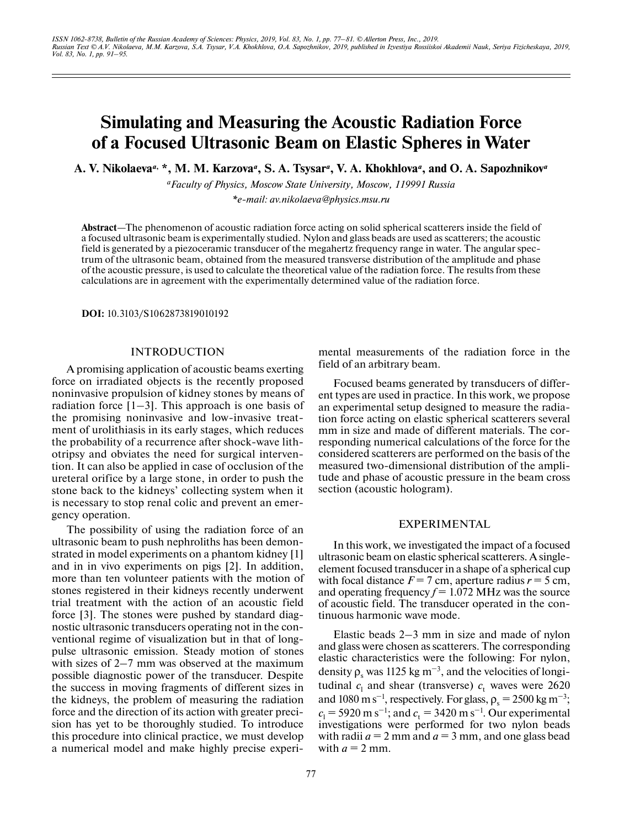# **Simulating and Measuring the Acoustic Radiation Force of a Focused Ultrasonic Beam on Elastic Spheres in Water**

**A. V. Nikolaeva***a***, \*, M. M. Karzova***<sup>a</sup>* **, S. A. Tsysar***<sup>a</sup>* **, V. A. Khokhlova***<sup>a</sup>* **, and O. A. Sapozhnikov***<sup>a</sup>*

*aFaculty of Physics, Moscow State University, Moscow, 119991 Russia \*e-mail: av.nikolaeva@physics.msu.ru*

**Abstract**—The phenomenon of acoustic radiation force acting on solid spherical scatterers inside the field of a focused ultrasonic beam is experimentally studied. Nylon and glass beads are used as scatterers; the acoustic field is generated by a piezoceramic transducer of the megahertz frequency range in water. The angular spectrum of the ultrasonic beam, obtained from the measured transverse distribution of the amplitude and phase of the acoustic pressure, is used to calculate the theoretical value of the radiation force. The results from these calculations are in agreement with the experimentally determined value of the radiation force.

**DOI:** 10.3103/S1062873819010192

#### INTRODUCTION

A promising application of acoustic beams exerting force on irradiated objects is the recently proposed noninvasive propulsion of kidney stones by means of radiation force  $[1-3]$ . This approach is one basis of the promising noninvasive and low-invasive treatment of urolithiasis in its early stages, which reduces the probability of a recurrence after shock-wave lithotripsy and obviates the need for surgical intervention. It can also be applied in case of occlusion of the ureteral orifice by a large stone, in order to push the stone back to the kidneys' collecting system when it is necessary to stop renal colic and prevent an emergency operation.

The possibility of using the radiation force of an ultrasonic beam to push nephroliths has been demonstrated in model experiments on a phantom kidney [1] and in in vivo experiments on pigs [2]. In addition, more than ten volunteer patients with the motion of stones registered in their kidneys recently underwent trial treatment with the action of an acoustic field force [3]. The stones were pushed by standard diagnostic ultrasonic transducers operating not in the conventional regime of visualization but in that of longpulse ultrasonic emission. Steady motion of stones with sizes of 2–7 mm was observed at the maximum possible diagnostic power of the transducer. Despite the success in moving fragments of different sizes in the kidneys, the problem of measuring the radiation force and the direction of its action with greater precision has yet to be thoroughly studied. To introduce this procedure into clinical practice, we must develop a numerical model and make highly precise experimental measurements of the radiation force in the field of an arbitrary beam.

Focused beams generated by transducers of different types are used in practice. In this work, we propose an experimental setup designed to measure the radiation force acting on elastic spherical scatterers several mm in size and made of different materials. The corresponding numerical calculations of the force for the considered scatterers are performed on the basis of the measured two-dimensional distribution of the amplitude and phase of acoustic pressure in the beam cross section (acoustic hologram).

#### EXPERIMENTAL

In this work, we investigated the impact of a focused ultrasonic beam on elastic spherical scatterers. A singleelement focused transducer in a shape of a spherical cup with focal distance  $F = 7$  cm, aperture radius  $r = 5$  cm, and operating frequency  $f = 1.072$  MHz was the source of acoustic field. The transducer operated in the continuous harmonic wave mode.

Elastic beads 2–3 mm in size and made of nylon and glass were chosen as scatterers. The corresponding elastic characteristics were the following: For nylon, density  $\rho_s$  was 1125 kg m<sup>-3</sup>, and the velocities of longitudinal  $c_1$  and shear (transverse)  $c_t$  waves were 2620 and 1080 m s<sup>-1</sup>, respectively. For glass,  $\rho_s = 2500 \text{ kg m}^{-3}$ ;  $c_1$  = 5920 m s<sup>-1</sup>; and  $c_t$  = 3420 m s<sup>-1</sup>. Our experimental investigations were performed for two nylon beads with radii  $a = 2$  mm and  $a = 3$  mm, and one glass bead with  $a = 2$  mm.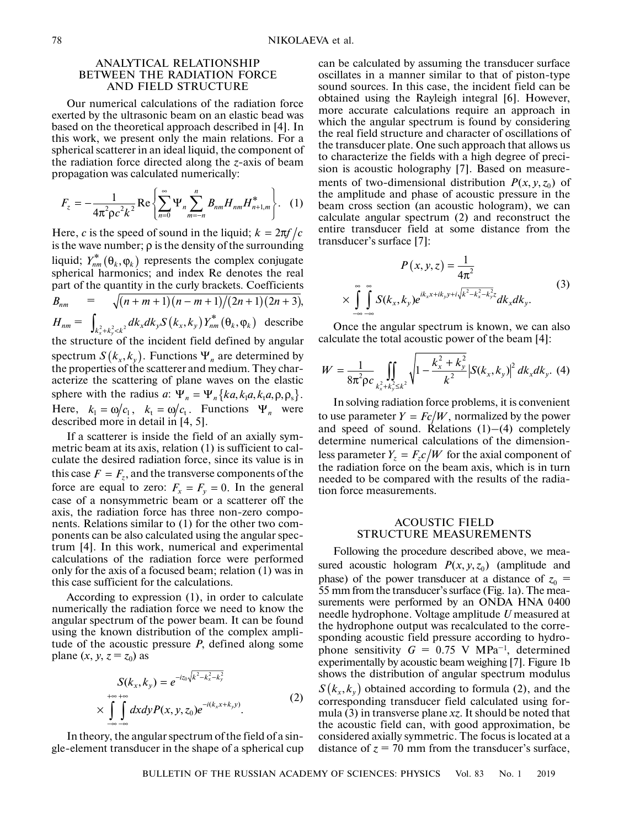## ANALYTICAL RELATIONSHIP BETWEEN THE RADIATION FORCE AND FIELD STRUCTURE

Our numerical calculations of the radiation force exerted by the ultrasonic beam on an elastic bead was based on the theoretical approach described in [4]. In this work, we present only the main relations. For a spherical scatterer in an ideal liquid, the component of the radiation force directed along the *z*-axis of beam propagation was calculated numerically:

$$
F_z = -\frac{1}{4\pi^2 \rho c^2 k^2} \text{Re} \left\{ \sum_{n=0}^{\infty} \Psi_n \sum_{m=-n}^{n} B_{nm} H_{nm} H_{n+1,m}^* \right\}.
$$
 (1)

Here, *c* is the speed of sound in the liquid;  $k = 2\pi f/c$ is the wave number;  $\rho$  is the density of the surrounding liquid;  $Y_{nm}^*(\theta_k, \varphi_k)$  represents the complex conjugate spherical harmonics; and index Re denotes the real part of the quantity in the curly brackets. Coefficients  $\equiv$  $= \int_{\gamma_1,\ldots,\gamma_d} dk_x dk_y S(k_x,k_y) Y_{nm}^*(\theta_k,\phi_k)$  describe the structure of the incident field defined by angular spectrum  $S(k_x, k_y)$ . Functions  $\Psi_n$  are determined by the properties of the scatterer and medium. They characterize the scattering of plane waves on the elastic sphere with the radius *a*: Here,  $k_1 = \omega/c_1$ ,  $k_1 = \omega/c_1$ . Functions  $\Psi_n$  were described more in detail in [4, 5].  $B_{nm} = \sqrt{(n+m+1)(n-m+1)/(2n+1)(2n+3)},$  $H_{nm} = \int_{k_x^2 + k_y^2 < k^2} dk_x dk_y S(k_x, k_y) Y_{nm}^* (\theta_k, \phi_k)$  $\Psi_n = \Psi_n \{ka, k_1a, k_1a, \rho, \rho_s\}.$  $k_1 = \omega/c_1$ ,  $k_t = \omega/c_t$ . Functions  $\Psi_n$ 

If a scatterer is inside the field of an axially symmetric beam at its axis, relation (1) is sufficient to calculate the desired radiation force, since its value is in this case  $F = F_z$ , and the transverse components of the force are equal to zero:  $F_x = F_y = 0$ . In the general case of a nonsymmetric beam or a scatterer off the axis, the radiation force has three non-zero components. Relations similar to (1) for the other two components can be also calculated using the angular spectrum [4]. In this work, numerical and experimental calculations of the radiation force were performed only for the axis of a focused beam; relation (1) was in this case sufficient for the calculations.

According to expression (1), in order to calculate numerically the radiation force we need to know the angular spectrum of the power beam. It can be found using the known distribution of the complex amplitude of the acoustic pressure *P*, defined along some plane  $(x, y, z = z_0)$  as

$$
S(k_x, k_y) = e^{-iz_0\sqrt{k^2 - k_x^2 - k_y^2}} \times \int_{-\infty}^{+\infty} \int_{-\infty}^{+\infty} dx dy P(x, y, z_0) e^{-i(k_x x + k_y y)}.
$$
\n(2)

In theory, the angular spectrum of the field of a single-element transducer in the shape of a spherical cup can be calculated by assuming the transducer surface oscillates in a manner similar to that of piston-type sound sources. In this case, the incident field can be obtained using the Rayleigh integral [6]. However, more accurate calculations require an approach in which the angular spectrum is found by considering the real field structure and character of oscillations of the transducer plate. One such approach that allows us to characterize the fields with a high degree of precision is acoustic holography [7]. Based on measurements of two-dimensional distribution  $P(x, y, z_0)$  of the amplitude and phase of acoustic pressure in the beam cross section (an acoustic hologram), we can calculate angular spectrum (2) and reconstruct the entire transducer field at some distance from the transducer's surface [7]:

$$
P(x, y, z) = \frac{1}{4\pi^2}
$$
  
 
$$
\times \int_{-\infty}^{\infty} \int_{-\infty}^{\infty} S(k_x, k_y) e^{ik_x x + ik_y y + i\sqrt{k^2 - k_x^2 - k_y^2} z} dk_x dk_y.
$$
 (3)

Once the angular spectrum is known, we can also calculate the total acoustic power of the beam [4]:

$$
W = \frac{1}{8\pi^2 \rho c} \iint\limits_{k_x^2 + k_y^2 \le k^2} \sqrt{1 - \frac{k_x^2 + k_y^2}{k^2}} |S(k_x, k_y)|^2 \, dk_x dk_y. \tag{4}
$$

In solving radiation force problems, it is convenient to use parameter  $Y = Fc/W$ , normalized by the power and speed of sound. Relations  $(1)$ – $(4)$  completely determine numerical calculations of the dimensionless parameter  $Y_z = F_z c/W$  for the axial component of the radiation force on the beam axis, which is in turn needed to be compared with the results of the radiation force measurements.

## ACOUSTIC FIELD STRUCTURE MEASUREMENTS

Following the procedure described above, we measured acoustic hologram  $P(x, y, z_0)$  (amplitude and phase) of the power transducer at a distance of  $z_0$  = 55 mm from the transducer's surface (Fig. 1a). The measurements were performed by an ONDA HNA 0400 needle hydrophone. Voltage amplitude *U* measured at the hydrophone output was recalculated to the corresponding acoustic field pressure according to hydrophone sensitivity  $G = 0.75$  V MPa<sup>-1</sup>, determined experimentally by acoustic beam weighing [7]. Figure 1b shows the distribution of angular spectrum modulus  $S\left(k_{x},k_{y}\right)$  obtained according to formula (2), and the corresponding transducer field calculated using formula (3) in transverse plane *xz*. It should be noted that the acoustic field can, with good approximation, be considered axially symmetric. The focus is located at a distance of  $z = 70$  mm from the transducer's surface,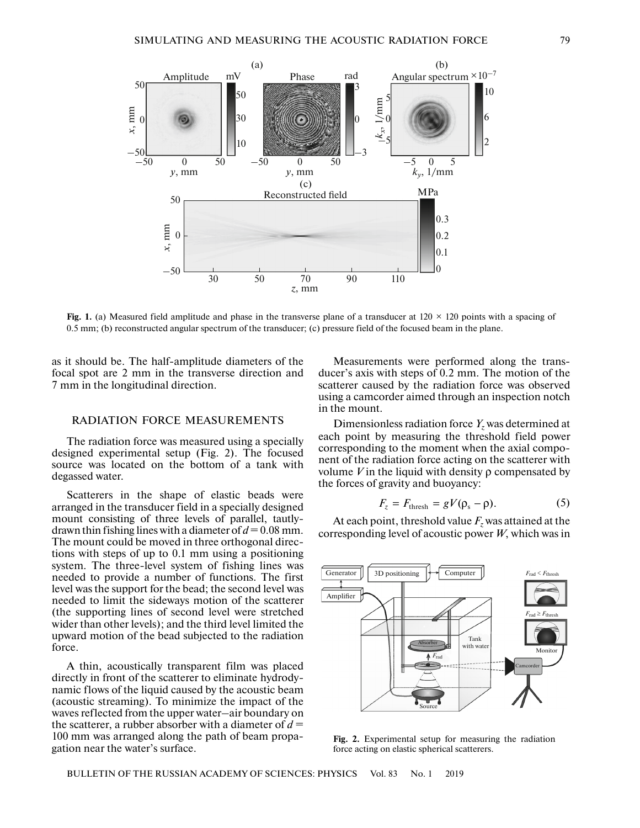

**Fig. 1.** (a) Measured field amplitude and phase in the transverse plane of a transducer at  $120 \times 120$  points with a spacing of 0.5 mm; (b) reconstructed angular spectrum of the transducer; (c) pressure field of the focused beam in the plane.

as it should be. The half-amplitude diameters of the focal spot are 2 mm in the transverse direction and 7 mm in the longitudinal direction.

## RADIATION FORCE MEASUREMENTS

The radiation force was measured using a specially designed experimental setup (Fig. 2). The focused source was located on the bottom of a tank with degassed water.

Scatterers in the shape of elastic beads were arranged in the transducer field in a specially designed mount consisting of three levels of parallel, tautlydrawn thin fishing lines with a diameter of  $d = 0.08$  mm. The mount could be moved in three orthogonal directions with steps of up to 0.1 mm using a positioning system. The three-level system of fishing lines was needed to provide a number of functions. The first level was the support for the bead; the second level was needed to limit the sideways motion of the scatterer (the supporting lines of second level were stretched wider than other levels); and the third level limited the upward motion of the bead subjected to the radiation force.

A thin, acoustically transparent film was placed directly in front of the scatterer to eliminate hydrodynamic flows of the liquid caused by the acoustic beam (acoustic streaming). To minimize the impact of the waves reflected from the upper water–air boundary on the scatterer, a rubber absorber with a diameter of  $d =$ 100 mm was arranged along the path of beam propagation near the water's surface.

Measurements were performed along the transducer's axis with steps of 0.2 mm. The motion of the scatterer caused by the radiation force was observed using a camcorder aimed through an inspection notch in the mount.

Dimensionless radiation force  $Y_z$  was determined at each point by measuring the threshold field power corresponding to the moment when the axial component of the radiation force acting on the scatterer with volume *V* in the liquid with density  $ρ$  compensated by the forces of gravity and buoyancy:

$$
F_z = F_{\text{thresh}} = gV(\rho_s - \rho). \tag{5}
$$

At each point, threshold value  $F_z$  was attained at the corresponding level of acoustic power *W*, which was in



**Fig. 2.** Experimental setup for measuring the radiation force acting on elastic spherical scatterers.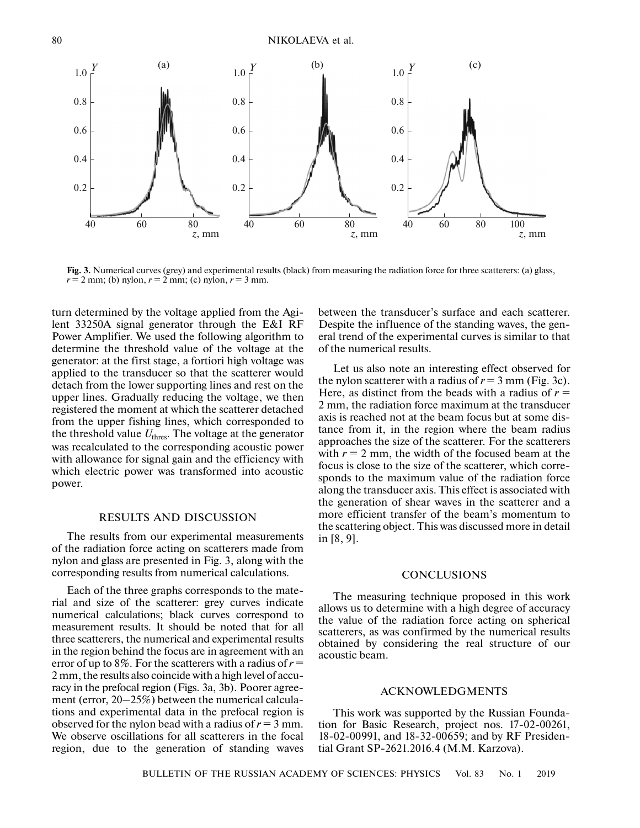NIKOLAEVA et al.



**Fig. 3.** Numerical curves (grey) and experimental results (black) from measuring the radiation force for three scatterers: (a) glass,  $r = 2$  mm; (b) nylon,  $r = 2$  mm; (c) nylon,  $r = 3$  mm.

turn determined by the voltage applied from the Agilent 33250A signal generator through the E&I RF Power Amplifier. We used the following algorithm to determine the threshold value of the voltage at the generator: at the first stage, a fortiori high voltage was applied to the transducer so that the scatterer would detach from the lower supporting lines and rest on the upper lines. Gradually reducing the voltage, we then registered the moment at which the scatterer detached from the upper fishing lines, which corresponded to the threshold value  $U_{\text{thres}}$ . The voltage at the generator was recalculated to the corresponding acoustic power with allowance for signal gain and the efficiency with which electric power was transformed into acoustic power.

## RESULTS AND DISCUSSION

The results from our experimental measurements of the radiation force acting on scatterers made from nylon and glass are presented in Fig. 3, along with the corresponding results from numerical calculations.

Each of the three graphs corresponds to the material and size of the scatterer: grey curves indicate numerical calculations; black curves correspond to measurement results. It should be noted that for all three scatterers, the numerical and experimental results in the region behind the focus are in agreement with an error of up to 8%. For the scatterers with a radius of  $r =$ 2 mm, the results also coincide with a high level of accuracy in the prefocal region (Figs. 3a, 3b). Poorer agreement (error, 20–25%) between the numerical calculations and experimental data in the prefocal region is observed for the nylon bead with a radius of  $r = 3$  mm. We observe oscillations for all scatterers in the focal region, due to the generation of standing waves between the transducer's surface and each scatterer. Despite the influence of the standing waves, the general trend of the experimental curves is similar to that of the numerical results.

Let us also note an interesting effect observed for the nylon scatterer with a radius of  $r = 3$  mm (Fig. 3c). Here, as distinct from the beads with a radius of  $r =$ 2 mm, the radiation force maximum at the transducer axis is reached not at the beam focus but at some distance from it, in the region where the beam radius approaches the size of the scatterer. For the scatterers with  $r = 2$  mm, the width of the focused beam at the focus is close to the size of the scatterer, which corresponds to the maximum value of the radiation force along the transducer axis. This effect is associated with the generation of shear waves in the scatterer and a more efficient transfer of the beam's momentum to the scattering object. This was discussed more in detail in [8, 9].

## **CONCLUSIONS**

The measuring technique proposed in this work allows us to determine with a high degree of accuracy the value of the radiation force acting on spherical scatterers, as was confirmed by the numerical results obtained by considering the real structure of our acoustic beam.

## ACKNOWLEDGMENTS

This work was supported by the Russian Foundation for Basic Research, project nos. 17-02-00261, 18-02-00991, and 18-32-00659; and by RF Presidential Grant SP-2621.2016.4 (M.M. Karzova).